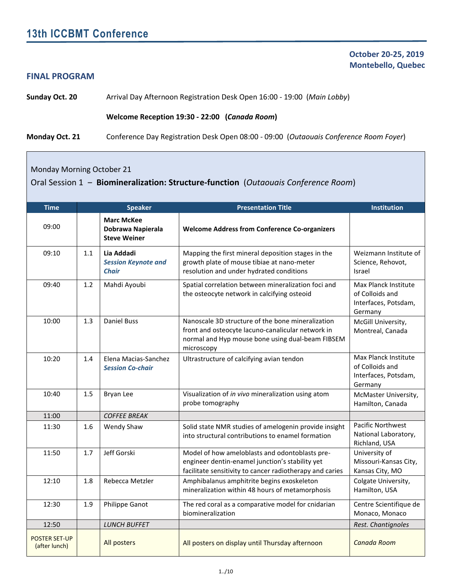#### **FINAL PROGRAM**

 **October 20-25, 2019 Montebello, Quebec**

**Sunday Oct. 20** Arrival Day Afternoon Registration Desk Open 16:00 - 19:00 (*Main Lobby*)

#### **Welcome Reception 19:30 - 22:00 (***Canada Room***)**

**Monday Oct. 21** Conference Day Registration Desk Open 08:00 - 09:00 (*Outaouais Conference Room Foyer*)

Monday Morning October 21

Oral Session 1 ‒ **Biomineralization: Structure-function** (*Outaouais Conference Room*)

| <b>Time</b>                           |     | <b>Speaker</b>                                                | <b>Presentation Title</b>                                                                                                                                                | <b>Institution</b>                                                         |
|---------------------------------------|-----|---------------------------------------------------------------|--------------------------------------------------------------------------------------------------------------------------------------------------------------------------|----------------------------------------------------------------------------|
| 09:00                                 |     | <b>Marc McKee</b><br>Dobrawa Napierala<br><b>Steve Weiner</b> | <b>Welcome Address from Conference Co-organizers</b>                                                                                                                     |                                                                            |
| 09:10                                 | 1.1 | Lia Addadi<br><b>Session Keynote and</b><br><b>Chair</b>      | Mapping the first mineral deposition stages in the<br>growth plate of mouse tibiae at nano-meter<br>resolution and under hydrated conditions                             | Weizmann Institute of<br>Science, Rehovot,<br><b>Israel</b>                |
| 09:40                                 | 1.2 | Mahdi Ayoubi                                                  | Spatial correlation between mineralization foci and<br>the osteocyte network in calcifying osteoid                                                                       | Max Planck Institute<br>of Colloids and<br>Interfaces, Potsdam,<br>Germany |
| 10:00                                 | 1.3 | <b>Daniel Buss</b>                                            | Nanoscale 3D structure of the bone mineralization<br>front and osteocyte lacuno-canalicular network in<br>normal and Hyp mouse bone using dual-beam FIBSEM<br>microscopy | McGill University,<br>Montreal, Canada                                     |
| 10:20                                 | 1.4 | Elena Macias-Sanchez<br><b>Session Co-chair</b>               | Ultrastructure of calcifying avian tendon                                                                                                                                | Max Planck Institute<br>of Colloids and<br>Interfaces, Potsdam,<br>Germany |
| 10:40                                 | 1.5 | Bryan Lee                                                     | Visualization of in vivo mineralization using atom<br>probe tomography                                                                                                   | McMaster University,<br>Hamilton, Canada                                   |
| 11:00                                 |     | <b>COFFEE BREAK</b>                                           |                                                                                                                                                                          |                                                                            |
| 11:30                                 | 1.6 | Wendy Shaw                                                    | Solid state NMR studies of amelogenin provide insight<br>into structural contributions to enamel formation                                                               | Pacific Northwest<br>National Laboratory,<br>Richland, USA                 |
| 11:50                                 | 1.7 | Jeff Gorski                                                   | Model of how ameloblasts and odontoblasts pre-<br>engineer dentin-enamel junction's stability yet<br>facilitate sensitivity to cancer radiotherapy and caries            | University of<br>Missouri-Kansas City,<br>Kansas City, MO                  |
| 12:10                                 | 1.8 | Rebecca Metzler                                               | Amphibalanus amphitrite begins exoskeleton<br>mineralization within 48 hours of metamorphosis                                                                            | Colgate University,<br>Hamilton, USA                                       |
| 12:30                                 | 1.9 | <b>Philippe Ganot</b>                                         | The red coral as a comparative model for cnidarian<br>biomineralization                                                                                                  | Centre Scientifique de<br>Monaco, Monaco                                   |
| 12:50                                 |     | <b>LUNCH BUFFET</b>                                           |                                                                                                                                                                          | Rest. Chantignoles                                                         |
| <b>POSTER SET-UP</b><br>(after lunch) |     | All posters                                                   | All posters on display until Thursday afternoon                                                                                                                          | Canada Room                                                                |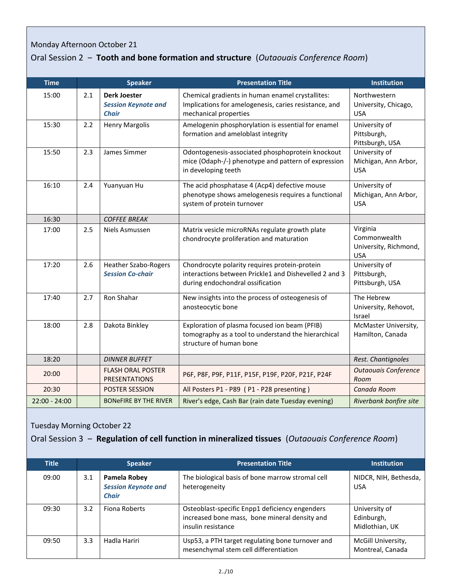## Monday Afternoon October 21

## Oral Session 2 ‒ **Tooth and bone formation and structure** (*Outaouais Conference Room*)

| <b>Time</b>     |     | <b>Speaker</b>                                                    | <b>Presentation Title</b>                                                                                                                                                   | <b>Institution</b>                                              |
|-----------------|-----|-------------------------------------------------------------------|-----------------------------------------------------------------------------------------------------------------------------------------------------------------------------|-----------------------------------------------------------------|
| 15:00           | 2.1 | <b>Derk Joester</b><br><b>Session Keynote and</b><br><b>Chair</b> | Chemical gradients in human enamel crystallites:<br>Implications for amelogenesis, caries resistance, and<br>mechanical properties                                          | Northwestern<br>University, Chicago,<br><b>USA</b>              |
| 15:30           | 2.2 | <b>Henry Margolis</b>                                             | Amelogenin phosphorylation is essential for enamel<br>formation and ameloblast integrity                                                                                    | University of<br>Pittsburgh,<br>Pittsburgh, USA                 |
| 15:50           | 2.3 | James Simmer                                                      | Odontogenesis-associated phosphoprotein knockout<br>mice (Odaph-/-) phenotype and pattern of expression<br>in developing teeth                                              | University of<br>Michigan, Ann Arbor,<br><b>USA</b>             |
| 16:10           | 2.4 | Yuanyuan Hu                                                       | The acid phosphatase 4 (Acp4) defective mouse<br>phenotype shows amelogenesis requires a functional<br>system of protein turnover                                           | University of<br>Michigan, Ann Arbor,<br><b>USA</b>             |
| 16:30           |     | <b>COFFEE BREAK</b>                                               |                                                                                                                                                                             |                                                                 |
| 17:00           | 2.5 | Niels Asmussen                                                    | Matrix vesicle microRNAs regulate growth plate<br>chondrocyte proliferation and maturation                                                                                  | Virginia<br>Commonwealth<br>University, Richmond,<br><b>USA</b> |
| 17:20           | 2.6 | <b>Heather Szabo-Rogers</b><br><b>Session Co-chair</b>            | Chondrocyte polarity requires protein-protein<br>interactions between Prickle1 and Dishevelled 2 and 3<br>during endochondral ossification                                  | University of<br>Pittsburgh,<br>Pittsburgh, USA                 |
| 17:40           | 2.7 | Ron Shahar                                                        | New insights into the process of osteogenesis of<br>anosteocytic bone                                                                                                       | The Hebrew<br>University, Rehovot,<br>Israel                    |
| 18:00           | 2.8 | Dakota Binkley                                                    | Exploration of plasma focused ion beam (PFIB)<br>McMaster University,<br>tomography as a tool to understand the hierarchical<br>Hamilton, Canada<br>structure of human bone |                                                                 |
| 18:20           |     | <b>DINNER BUFFET</b>                                              |                                                                                                                                                                             | Rest. Chantignoles                                              |
| 20:00           |     | <b>FLASH ORAL POSTER</b><br><b>PRESENTATIONS</b>                  | <b>Outaouais Conference</b><br>P6F, P8F, P9F, P11F, P15F, P19F, P20F, P21F, P24F<br>Room                                                                                    |                                                                 |
| 20:30           |     | POSTER SESSION                                                    | All Posters P1 - P89 (P1 - P28 presenting)                                                                                                                                  | Canada Room                                                     |
| $22:00 - 24:00$ |     | <b>BONeFIRE BY THE RIVER</b>                                      | River's edge, Cash Bar (rain date Tuesday evening)<br>Riverbank bonfire site                                                                                                |                                                                 |

Tuesday Morning October 22

## Oral Session 3 ‒ **Regulation of cell function in mineralized tissues** (*Outaouais Conference Room*)

| <b>Title</b> |     | <b>Speaker</b>                                             | <b>Presentation Title</b>                                                                                             | <b>Institution</b>                            |
|--------------|-----|------------------------------------------------------------|-----------------------------------------------------------------------------------------------------------------------|-----------------------------------------------|
| 09:00        | 3.1 | Pamela Robey<br><b>Session Keynote and</b><br><b>Chair</b> | The biological basis of bone marrow stromal cell<br>heterogeneity                                                     | NIDCR, NIH, Bethesda,<br><b>USA</b>           |
| 09:30        | 3.2 | Fiona Roberts                                              | Osteoblast-specific Enpp1 deficiency engenders<br>increased bone mass, bone mineral density and<br>insulin resistance | University of<br>Edinburgh,<br>Midlothian, UK |
| 09:50        | 3.3 | Hadla Hariri                                               | Usp53, a PTH target regulating bone turnover and<br>mesenchymal stem cell differentiation                             | McGill University,<br>Montreal, Canada        |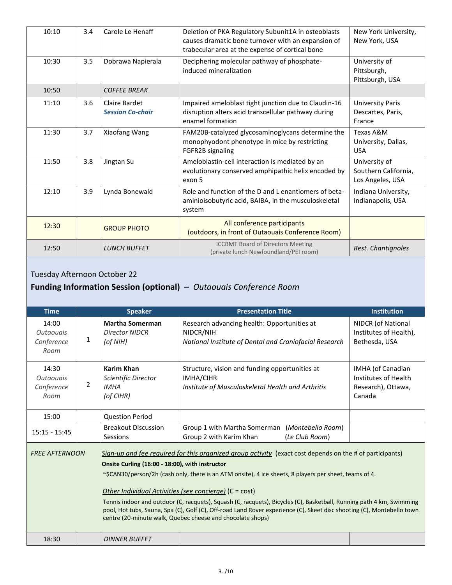| 10:10 | 3.4 | Carole Le Henaff                         | Deletion of PKA Regulatory Subunit1A in osteoblasts<br>causes dramatic bone turnover with an expansion of<br>trabecular area at the expense of cortical bone | New York University,<br>New York, USA                     |
|-------|-----|------------------------------------------|--------------------------------------------------------------------------------------------------------------------------------------------------------------|-----------------------------------------------------------|
| 10:30 | 3.5 | Dobrawa Napierala                        | Deciphering molecular pathway of phosphate-<br>induced mineralization                                                                                        | University of<br>Pittsburgh,<br>Pittsburgh, USA           |
| 10:50 |     | <b>COFFEE BREAK</b>                      |                                                                                                                                                              |                                                           |
| 11:10 | 3.6 | Claire Bardet<br><b>Session Co-chair</b> | Impaired ameloblast tight junction due to Claudin-16<br>disruption alters acid transcellular pathway during<br>enamel formation                              | <b>University Paris</b><br>Descartes, Paris,<br>France    |
| 11:30 | 3.7 | Xiaofang Wang                            | FAM20B-catalyzed glycosaminoglycans determine the<br>monophyodont phenotype in mice by restricting<br>FGFR2B signaling                                       | Texas A&M<br>University, Dallas,<br><b>USA</b>            |
| 11:50 | 3.8 | Jingtan Su                               | Ameloblastin-cell interaction is mediated by an<br>evolutionary conserved amphipathic helix encoded by<br>exon 5                                             | University of<br>Southern California,<br>Los Angeles, USA |
| 12:10 | 3.9 | Lynda Bonewald                           | Role and function of the D and L enantiomers of beta-<br>aminioisobutyric acid, BAIBA, in the musculoskeletal<br>system                                      | Indiana University,<br>Indianapolis, USA                  |
| 12:30 |     | <b>GROUP PHOTO</b>                       | All conference participants<br>(outdoors, in front of Outaouais Conference Room)                                                                             |                                                           |
| 12:50 |     | <b>LUNCH BUFFET</b>                      | <b>ICCBMT Board of Directors Meeting</b><br>(private lunch Newfoundland/PEI room)                                                                            | Rest. Chantignoles                                        |

# Tuesday Afternoon October 22

## **Funding Information Session (optional) –** *Outaouais Conference Room*

| <b>Time</b>                                     |                | <b>Speaker</b>                                                       | <b>Presentation Title</b>                                                                                                                                                                                                                                                                                                                                                                                                                                                                                                                                                                          | <b>Institution</b>                                                        |
|-------------------------------------------------|----------------|----------------------------------------------------------------------|----------------------------------------------------------------------------------------------------------------------------------------------------------------------------------------------------------------------------------------------------------------------------------------------------------------------------------------------------------------------------------------------------------------------------------------------------------------------------------------------------------------------------------------------------------------------------------------------------|---------------------------------------------------------------------------|
| 14:00<br><b>Outgougis</b><br>Conference<br>Room | 1              | <b>Martha Somerman</b><br><b>Director NIDCR</b><br>(of NIH)          | Research advancing health: Opportunities at<br>NIDCR/NIH<br>National Institute of Dental and Craniofacial Research                                                                                                                                                                                                                                                                                                                                                                                                                                                                                 | NIDCR (of National<br>Institutes of Health),<br>Bethesda, USA             |
| 14:30<br><b>Outaouais</b><br>Conference<br>Room | $\overline{2}$ | <b>Karim Khan</b><br>Scientific Director<br><b>IMHA</b><br>(of CIHR) | Structure, vision and funding opportunities at<br><b>IMHA/CIHR</b><br>Institute of Musculoskeletal Health and Arthritis                                                                                                                                                                                                                                                                                                                                                                                                                                                                            | IMHA (of Canadian<br>Institutes of Health<br>Research), Ottawa,<br>Canada |
| 15:00                                           |                | <b>Question Period</b>                                               |                                                                                                                                                                                                                                                                                                                                                                                                                                                                                                                                                                                                    |                                                                           |
| $15:15 - 15:45$                                 |                | <b>Breakout Discussion</b><br>Sessions                               | Group 1 with Martha Somerman<br>(Montebello Room)<br>Group 2 with Karim Khan<br>(Le Club Room)                                                                                                                                                                                                                                                                                                                                                                                                                                                                                                     |                                                                           |
| <b>FREE AFTERNOON</b>                           |                | Onsite Curling (16:00 - 18:00), with instructor                      | Sign-up and fee required for this organized group activity (exact cost depends on the # of participants)<br>$\sim$ \$CAN30/person/2h (cash only, there is an ATM onsite), 4 ice sheets, 8 players per sheet, teams of 4.<br>Other Individual Activities (see concierge) (C = cost)<br>Tennis indoor and outdoor (C, racquets), Squash (C, racquets), Bicycles (C), Basketball, Running path 4 km, Swimming<br>pool, Hot tubs, Sauna, Spa (C), Golf (C), Off-road Land Rover experience (C), Skeet disc shooting (C), Montebello town<br>centre (20-minute walk, Quebec cheese and chocolate shops) |                                                                           |
| 18:30                                           |                | <b>DINNER BUFFET</b>                                                 |                                                                                                                                                                                                                                                                                                                                                                                                                                                                                                                                                                                                    |                                                                           |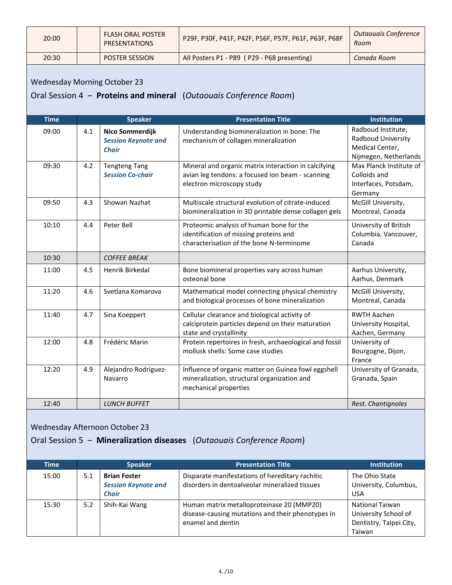| 20:00 | <b>FLASH ORAL POSTER</b><br><b>PRESENTATIONS</b> | P29F, P30F, P41F, P42F, P56F, P57F, P61F, P63F, P68F | Outaouais Conference<br>Room |
|-------|--------------------------------------------------|------------------------------------------------------|------------------------------|
| 20:30 | <b>POSTER SESSION</b>                            | All Posters P1 - P89 (P29 - P68 presenting)          | Canada Room                  |

#### Wednesday Morning October 23

## Oral Session 4 ‒ **Proteins and mineral** (*Outaouais Conference Room*)

| <b>Time</b> |     | <b>Speaker</b>                                                | <b>Presentation Title</b>                                                                                                             | <b>Institution</b>                                                                   |
|-------------|-----|---------------------------------------------------------------|---------------------------------------------------------------------------------------------------------------------------------------|--------------------------------------------------------------------------------------|
| 09:00       | 4.1 | Nico Sommerdijk<br><b>Session Keynote and</b><br><b>Chair</b> | Understanding biomineralization in bone: The<br>mechanism of collagen mineralization                                                  | Radboud Institute,<br>Radboud University<br>Medical Center,<br>Nijmegen, Netherlands |
| 09:30       | 4.2 | <b>Tengteng Tang</b><br><b>Session Co-chair</b>               | Mineral and organic matrix interaction in calcifying<br>avian leg tendons: a focused ion beam - scanning<br>electron microscopy study | Max Planck Institute of<br>Colloids and<br>Interfaces, Potsdam,<br>Germany           |
| 09:50       | 4.3 | Showan Nazhat                                                 | Multiscale structural evolution of citrate-induced<br>biomineralization in 3D printable dense collagen gels                           | McGill University,<br>Montreal, Canada                                               |
| 10:10       | 4.4 | Peter Bell                                                    | Proteomic analysis of human bone for the<br>identification of missing proteins and<br>characterisation of the bone N-terminome        | University of British<br>Columbia, Vancouver,<br>Canada                              |
| 10:30       |     | <b>COFFEE BREAK</b>                                           |                                                                                                                                       |                                                                                      |
| 11:00       | 4.5 | Henrik Birkedal                                               | Bone biomineral properties vary across human<br>osteonal bone                                                                         | Aarhus University,<br>Aarhus, Denmark                                                |
| 11:20       | 4.6 | Svetlana Komarova                                             | Mathematical model connecting physical chemistry<br>and biological processes of bone mineralization                                   | McGill University,<br>Montreal, Canada                                               |
| 11:40       | 4.7 | Sina Koeppert                                                 | Cellular clearance and biological activity of<br>calciprotein particles depend on their maturation<br>state and crystallinity         | <b>RWTH Aachen</b><br>University Hospital,<br>Aachen, Germany                        |
| 12:00       | 4.8 | Frédéric Marin                                                | Protein repertoires in fresh, archaeological and fossil<br>mollusk shells: Some case studies                                          | University of<br>Bourgogne, Dijon,<br>France                                         |
| 12:20       | 4.9 | Alejandro Rodriguez-<br>Navarro                               | Influence of organic matter on Guinea fowl eggshell<br>mineralization, structural organization and<br>mechanical properties           | University of Granada,<br>Granada, Spain                                             |
| 12:40       |     | <b>LUNCH BUFFET</b>                                           |                                                                                                                                       | Rest. Chantignoles                                                                   |

### Wednesday Afternoon October 23

## Oral Session 5 ‒ **Mineralization diseases** (*Outaouais Conference Room*)

| <b>Time</b> |     | <b>Speaker</b>                                                    | <b>Presentation Title</b>                                                                                           | <b>Institution</b>                                                                  |
|-------------|-----|-------------------------------------------------------------------|---------------------------------------------------------------------------------------------------------------------|-------------------------------------------------------------------------------------|
| 15:00       | 5.1 | <b>Brian Foster</b><br><b>Session Keynote and</b><br><b>Chair</b> | Disparate manifestations of hereditary rachitic<br>disorders in dentoalveolar mineralized tissues                   | The Ohio State<br>University, Columbus,<br><b>USA</b>                               |
| 15:30       | 5.2 | Shih-Kai Wang                                                     | Human matrix metalloproteinase 20 (MMP20)<br>disease-causing mutations and their phenotypes in<br>enamel and dentin | <b>National Taiwan</b><br>University School of<br>Dentistry, Taipei City,<br>Taiwan |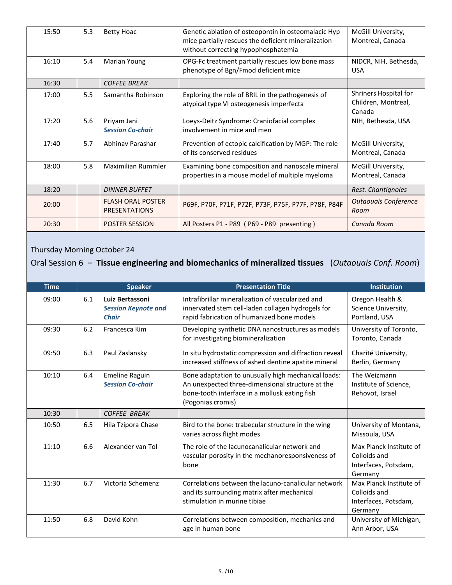| 15:50 | 5.3 | <b>Betty Hoac</b>                                | Genetic ablation of osteopontin in osteomalacic Hyp<br>mice partially rescues the deficient mineralization<br>without correcting hypophosphatemia | McGill University,<br>Montreal, Canada                 |
|-------|-----|--------------------------------------------------|---------------------------------------------------------------------------------------------------------------------------------------------------|--------------------------------------------------------|
| 16:10 | 5.4 | Marian Young                                     | OPG-Fc treatment partially rescues low bone mass<br>phenotype of Bgn/Fmod deficient mice                                                          | NIDCR, NIH, Bethesda,<br><b>USA</b>                    |
| 16:30 |     | <b>COFFEE BREAK</b>                              |                                                                                                                                                   |                                                        |
| 17:00 | 5.5 | Samantha Robinson                                | Exploring the role of BRIL in the pathogenesis of<br>atypical type VI osteogenesis imperfecta                                                     | Shriners Hospital for<br>Children, Montreal,<br>Canada |
| 17:20 | 5.6 | Priyam Jani<br><b>Session Co-chair</b>           | Loeys-Deitz Syndrome: Craniofacial complex<br>involvement in mice and men                                                                         | NIH, Bethesda, USA                                     |
| 17:40 | 5.7 | Abhinav Parashar                                 | Prevention of ectopic calcification by MGP: The role<br>of its conserved residues                                                                 | McGill University,<br>Montreal, Canada                 |
| 18:00 | 5.8 | Maximilian Rummler                               | Examining bone composition and nanoscale mineral<br>properties in a mouse model of multiple myeloma                                               | McGill University,<br>Montreal, Canada                 |
| 18:20 |     | <b>DINNER BUFFET</b>                             |                                                                                                                                                   | Rest. Chantignoles                                     |
| 20:00 |     | <b>FLASH ORAL POSTER</b><br><b>PRESENTATIONS</b> | P69F, P70F, P71F, P72F, P73F, P75F, P77F, P78F, P84F                                                                                              | <b>Outaouais Conference</b><br>Room                    |
| 20:30 |     | <b>POSTER SESSION</b>                            | All Posters P1 - P89 (P69 - P89 presenting)                                                                                                       | Canada Room                                            |

## Thursday Morning October 24

## Oral Session 6 ‒ **Tissue engineering and biomechanics of mineralized tissues** (*Outaouais Conf. Room*)

| <b>Time</b> |     | <b>Speaker</b>                                                | <b>Presentation Title</b>                                                                                                                                                     | <b>Institution</b>                                                         |
|-------------|-----|---------------------------------------------------------------|-------------------------------------------------------------------------------------------------------------------------------------------------------------------------------|----------------------------------------------------------------------------|
| 09:00       | 6.1 | Luiz Bertassoni<br><b>Session Keynote and</b><br><b>Chair</b> | Intrafibrillar mineralization of vascularized and<br>innervated stem cell-laden collagen hydrogels for<br>rapid fabrication of humanized bone models                          | Oregon Health &<br>Science University,<br>Portland, USA                    |
| 09:30       | 6.2 | Francesca Kim                                                 | Developing synthetic DNA nanostructures as models<br>for investigating biomineralization                                                                                      | University of Toronto,<br>Toronto, Canada                                  |
| 09:50       | 6.3 | Paul Zaslansky                                                | In situ hydrostatic compression and diffraction reveal<br>increased stiffness of ashed dentine apatite mineral                                                                | Charité University,<br>Berlin, Germany                                     |
| 10:10       | 6.4 | <b>Emeline Raguin</b><br><b>Session Co-chair</b>              | Bone adaptation to unusually high mechanical loads:<br>An unexpected three-dimensional structure at the<br>bone-tooth interface in a mollusk eating fish<br>(Pogonias cromis) | The Weizmann<br>Institute of Science,<br>Rehovot, Israel                   |
| 10:30       |     | <b>COFFEE BREAK</b>                                           |                                                                                                                                                                               |                                                                            |
| 10:50       | 6.5 | Hila Tzipora Chase                                            | Bird to the bone: trabecular structure in the wing<br>varies across flight modes                                                                                              | University of Montana,<br>Missoula, USA                                    |
| 11:10       | 6.6 | Alexander van Tol                                             | The role of the lacunocanalicular network and<br>vascular porosity in the mechanoresponsiveness of<br>bone                                                                    | Max Planck Institute of<br>Colloids and<br>Interfaces, Potsdam,<br>Germany |
| 11:30       | 6.7 | Victoria Schemenz                                             | Correlations between the lacuno-canalicular network<br>and its surrounding matrix after mechanical<br>stimulation in murine tibiae                                            | Max Planck Institute of<br>Colloids and<br>Interfaces, Potsdam,<br>Germany |
| 11:50       | 6.8 | David Kohn                                                    | Correlations between composition, mechanics and<br>age in human bone                                                                                                          | University of Michigan,<br>Ann Arbor, USA                                  |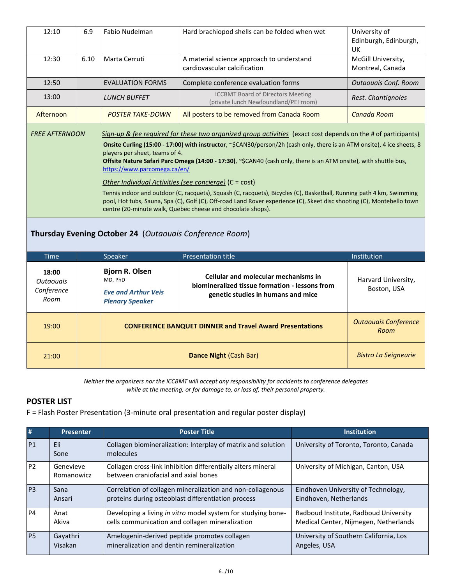| 12:10                                    | 6.9                                                                                                                                                                                                                                                                                                                                                                                                                                                                                                                                                                                                                                                                                                                                                                                                                                                                                            | Fabio Nudelman<br>Hard brachiopod shells can be folded when wet                            |                                                                                                                                     | University of<br>Edinburgh, Edinburgh,<br>UK |  |
|------------------------------------------|------------------------------------------------------------------------------------------------------------------------------------------------------------------------------------------------------------------------------------------------------------------------------------------------------------------------------------------------------------------------------------------------------------------------------------------------------------------------------------------------------------------------------------------------------------------------------------------------------------------------------------------------------------------------------------------------------------------------------------------------------------------------------------------------------------------------------------------------------------------------------------------------|--------------------------------------------------------------------------------------------|-------------------------------------------------------------------------------------------------------------------------------------|----------------------------------------------|--|
| 12:30                                    | 6.10                                                                                                                                                                                                                                                                                                                                                                                                                                                                                                                                                                                                                                                                                                                                                                                                                                                                                           | Marta Cerruti<br>A material science approach to understand<br>cardiovascular calcification |                                                                                                                                     | McGill University,<br>Montreal, Canada       |  |
| 12:50                                    |                                                                                                                                                                                                                                                                                                                                                                                                                                                                                                                                                                                                                                                                                                                                                                                                                                                                                                | <b>EVALUATION FORMS</b>                                                                    | Complete conference evaluation forms                                                                                                | <b>Outaouais Conf. Room</b>                  |  |
| 13:00                                    |                                                                                                                                                                                                                                                                                                                                                                                                                                                                                                                                                                                                                                                                                                                                                                                                                                                                                                | <b>LUNCH BUFFET</b>                                                                        | <b>ICCBMT Board of Directors Meeting</b><br>(private lunch Newfoundland/PEI room)                                                   | Rest. Chantignoles                           |  |
| Afternoon                                |                                                                                                                                                                                                                                                                                                                                                                                                                                                                                                                                                                                                                                                                                                                                                                                                                                                                                                | <b>POSTER TAKE-DOWN</b>                                                                    | All posters to be removed from Canada Room                                                                                          | Canada Room                                  |  |
|                                          | Sign-up & fee required for these two organized group activities (exact cost depends on the # of participants)<br><b>FREE AFTERNOON</b><br>Onsite Curling (15:00 - 17:00) with instructor, ~\$CAN30/person/2h (cash only, there is an ATM onsite), 4 ice sheets, 8<br>players per sheet, teams of 4.<br>Offsite Nature Safari Parc Omega (14:00 - 17:30), ~\$CAN40 (cash only, there is an ATM onsite), with shuttle bus,<br>https://www.parcomega.ca/en/<br>Other Individual Activities (see concierge) (C = cost)<br>Tennis indoor and outdoor (C, racquets), Squash (C, racquets), Bicycles (C), Basketball, Running path 4 km, Swimming<br>pool, Hot tubs, Sauna, Spa (C), Golf (C), Off-road Land Rover experience (C), Skeet disc shooting (C), Montebello town<br>centre (20-minute walk, Quebec cheese and chocolate shops).<br>Thursday Evening October 24 (Outaouais Conference Room) |                                                                                            |                                                                                                                                     |                                              |  |
| <b>Time</b>                              |                                                                                                                                                                                                                                                                                                                                                                                                                                                                                                                                                                                                                                                                                                                                                                                                                                                                                                | Speaker                                                                                    | <b>Presentation title</b>                                                                                                           | Institution                                  |  |
| 18:00<br>Outaouais<br>Conference<br>Room |                                                                                                                                                                                                                                                                                                                                                                                                                                                                                                                                                                                                                                                                                                                                                                                                                                                                                                | <b>Bjorn R. Olsen</b><br>MD, PhD<br><b>Eve and Arthur Veis</b><br><b>Plenary Speaker</b>   | <b>Cellular and molecular mechanisms in</b><br>biomineralized tissue formation - lessons from<br>genetic studies in humans and mice | Harvard University,<br>Boston, USA           |  |
| 19:00                                    |                                                                                                                                                                                                                                                                                                                                                                                                                                                                                                                                                                                                                                                                                                                                                                                                                                                                                                |                                                                                            | <b>CONFERENCE BANQUET DINNER and Travel Award Presentations</b>                                                                     | <b>Outaouais Conference</b><br>Room          |  |
| 21:00                                    |                                                                                                                                                                                                                                                                                                                                                                                                                                                                                                                                                                                                                                                                                                                                                                                                                                                                                                |                                                                                            | Dance Night (Cash Bar)                                                                                                              | <b>Bistro La Seigneurie</b>                  |  |

*Neither the organizers nor the ICCBMT will accept any responsibility for accidents to conference delegates while at the meeting, or for damage to, or loss of, their personal property.*

#### **POSTER LIST**

F = Flash Poster Presentation (3-minute oral presentation and regular poster display)

| #              | <b>Presenter</b>        | <b>Poster Title</b>                                                                                  | <b>Institution</b>                     |
|----------------|-------------------------|------------------------------------------------------------------------------------------------------|----------------------------------------|
| P <sub>1</sub> | Eli<br>Sone             | Collagen biomineralization: Interplay of matrix and solution<br>molecules                            | University of Toronto, Toronto, Canada |
| <b>P2</b>      | Genevieve<br>Romanowicz | Collagen cross-link inhibition differentially alters mineral<br>between craniofacial and axial bones | University of Michigan, Canton, USA    |
| P <sub>3</sub> | Sana                    | Correlation of collagen mineralization and non-collagenous                                           | Eindhoven University of Technology,    |
|                | Ansari                  | proteins during osteoblast differentiation process                                                   | Eindhoven, Netherlands                 |
| <b>P4</b>      | Anat                    | Developing a living in vitro model system for studying bone-                                         | Radboud Institute, Radboud University  |
|                | Akiva                   | cells communication and collagen mineralization                                                      | Medical Center, Nijmegen, Netherlands  |
| PS             | Gayathri                | Amelogenin-derived peptide promotes collagen                                                         | University of Southern California, Los |
|                | Visakan                 | mineralization and dentin remineralization                                                           | Angeles, USA                           |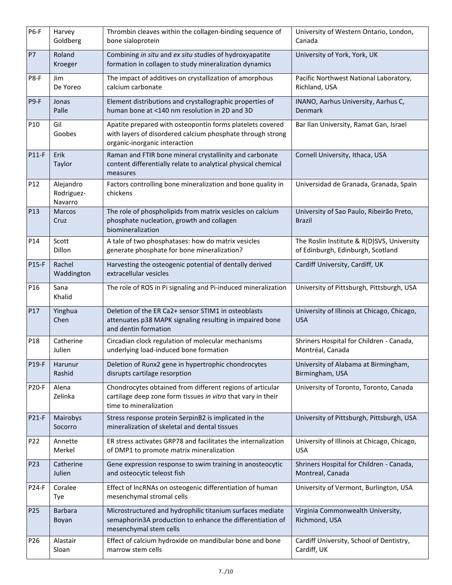| P6-F            | Harvey<br>Goldberg                 | Thrombin cleaves within the collagen-binding sequence of<br>bone sialoprotein                                                                            | University of Western Ontario, London,<br>Canada                                |
|-----------------|------------------------------------|----------------------------------------------------------------------------------------------------------------------------------------------------------|---------------------------------------------------------------------------------|
| <b>P7</b>       | Roland<br>Kroeger                  | Combining in situ and ex situ studies of hydroxyapatite<br>formation in collagen to study mineralization dynamics                                        | University of York, York, UK                                                    |
| P8-F            | Jim<br>De Yoreo                    | The impact of additives on crystallization of amorphous<br>calcium carbonate                                                                             | Pacific Northwest National Laboratory,<br>Richland, USA                         |
| P9-F            | Jonas<br>Palle                     | Element distributions and crystallographic properties of<br>human bone at <140 nm resolution in 2D and 3D                                                | INANO, Aarhus University, Aarhus C,<br>Denmark                                  |
| P <sub>10</sub> | Gil<br>Goobes                      | Apatite prepared with osteopontin forms platelets covered<br>with layers of disordered calcium phosphate through strong<br>organic-inorganic interaction | Bar Ilan University, Ramat Gan, Israel                                          |
| <b>P11-F</b>    | Erik<br>Taylor                     | Raman and FTIR bone mineral crystallinity and carbonate<br>content differentially relate to analytical physical chemical<br>measures                     | Cornell University, Ithaca, USA                                                 |
| P12             | Alejandro<br>Rodriguez-<br>Navarro | Factors controlling bone mineralization and bone quality in<br>chickens                                                                                  | Universidad de Granada, Granada, Spain                                          |
| P <sub>13</sub> | <b>Marcos</b><br>Cruz              | The role of phospholipids from matrix vesicles on calcium<br>phosphate nucleation, growth and collagen<br>biomineralization                              | University of Sao Paulo, Ribeirão Preto,<br><b>Brazil</b>                       |
| P14             | Scott<br>Dillon                    | A tale of two phosphatases: how do matrix vesicles<br>generate phosphate for bone mineralization?                                                        | The Roslin Institute & R(D)SVS, University<br>of Edinburgh, Edinburgh, Scotland |
| P15-F           | Rachel<br>Waddington               | Harvesting the osteogenic potential of dentally derived<br>extracellular vesicles                                                                        | Cardiff University, Cardiff, UK                                                 |
| P16             | Sana<br>Khalid                     | The role of ROS in Pi signaling and Pi-induced mineralization                                                                                            | University of Pittsburgh, Pittsburgh, USA                                       |
| P17             | Yinghua<br>Chen                    | Deletion of the ER Ca2+ sensor STIM1 in osteoblasts<br>attenuates p38 MAPK signaling resulting in impaired bone<br>and dentin formation                  | University of Illinois at Chicago, Chicago,<br><b>USA</b>                       |
| P18             | Catherine<br>Julien                | Circadian clock regulation of molecular mechanisms<br>underlying load-induced bone formation                                                             | Shriners Hospital for Children - Canada,<br>Montréal, Canada                    |
| P19-F           | Harunur<br>Rashid                  | Deletion of Runx2 gene in hypertrophic chondrocytes<br>disrupts cartilage resorption                                                                     | University of Alabama at Birmingham,<br>Birmingham, USA                         |
| <b>P20-F</b>    | Alena<br>Zelinka                   | Chondrocytes obtained from different regions of articular<br>cartilage deep zone form tissues in vitro that vary in their<br>time to mineralization      | University of Toronto, Toronto, Canada                                          |
| <b>P21-F</b>    | Mairobys<br>Socorro                | Stress response protein SerpinB2 is implicated in the<br>mineralization of skeletal and dental tissues                                                   | University of Pittsburgh, Pittsburgh, USA                                       |
| P22             | Annette<br>Merkel                  | ER stress activates GRP78 and facilitates the internalization<br>of DMP1 to promote matrix mineralization                                                | University of Illinois at Chicago, Chicago,<br><b>USA</b>                       |
| P <sub>23</sub> | Catherine<br>Julien                | Gene expression response to swim training in anosteocytic<br>and osteocytic teleost fish                                                                 | Shriners Hospital for Children - Canada,<br>Montreal, Canada                    |
| P24-F           | Coralee<br>Tye                     | Effect of IncRNAs on osteogenic differentiation of human<br>mesenchymal stromal cells                                                                    | University of Vermont, Burlington, USA                                          |
| P <sub>25</sub> | <b>Barbara</b><br>Boyan            | Microstructured and hydrophilic titanium surfaces mediate<br>semaphorin3A production to enhance the differentiation of<br>mesenchymal stem cells         | Virginia Commonwealth University,<br>Richmond, USA                              |
| P <sub>26</sub> | Alastair<br>Sloan                  | Effect of calcium hydroxide on mandibular bone and bone<br>marrow stem cells                                                                             | Cardiff University, School of Dentistry,<br>Cardiff, UK                         |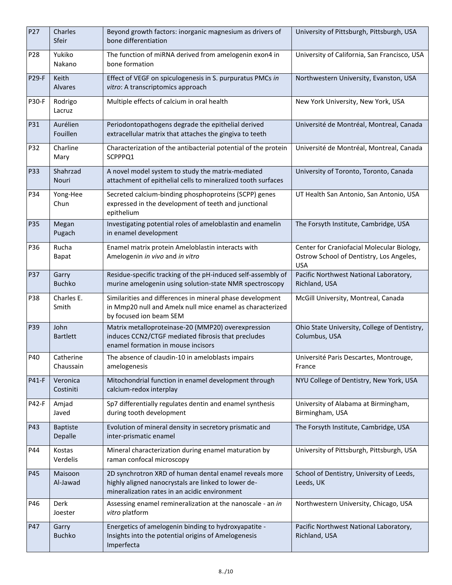| P27             | Charles<br>Sfeir           | Beyond growth factors: inorganic magnesium as drivers of<br>bone differentiation                                                                               | University of Pittsburgh, Pittsburgh, USA                                                            |
|-----------------|----------------------------|----------------------------------------------------------------------------------------------------------------------------------------------------------------|------------------------------------------------------------------------------------------------------|
| P <sub>28</sub> | Yukiko<br>Nakano           | The function of miRNA derived from amelogenin exon4 in<br>bone formation                                                                                       | University of California, San Francisco, USA                                                         |
| <b>P29-F</b>    | Keith<br>Alvares           | Effect of VEGF on spiculogenesis in S. purpuratus PMCs in<br>vitro: A transcriptomics approach                                                                 | Northwestern University, Evanston, USA                                                               |
| <b>P30-F</b>    | Rodrigo<br>Lacruz          | Multiple effects of calcium in oral health                                                                                                                     | New York University, New York, USA                                                                   |
| P31             | Aurélien<br>Fouillen       | Periodontopathogens degrade the epithelial derived<br>extracellular matrix that attaches the gingiva to teeth                                                  | Université de Montréal, Montreal, Canada                                                             |
| P32             | Charline<br>Mary           | Characterization of the antibacterial potential of the protein<br>SCPPPQ1                                                                                      | Université de Montréal, Montreal, Canada                                                             |
| P33             | Shahrzad<br>Nouri          | A novel model system to study the matrix-mediated<br>attachment of epithelial cells to mineralized tooth surfaces                                              | University of Toronto, Toronto, Canada                                                               |
| P34             | Yong-Hee<br>Chun           | Secreted calcium-binding phosphoproteins (SCPP) genes<br>expressed in the development of teeth and junctional<br>epithelium                                    | UT Health San Antonio, San Antonio, USA                                                              |
| P35             | Megan<br>Pugach            | Investigating potential roles of ameloblastin and enamelin<br>in enamel development                                                                            | The Forsyth Institute, Cambridge, USA                                                                |
| P36             | Rucha<br><b>Bapat</b>      | Enamel matrix protein Ameloblastin interacts with<br>Amelogenin in vivo and in vitro                                                                           | Center for Craniofacial Molecular Biology,<br>Ostrow School of Dentistry, Los Angeles,<br><b>USA</b> |
| P37             | Garry<br><b>Buchko</b>     | Residue-specific tracking of the pH-induced self-assembly of<br>murine amelogenin using solution-state NMR spectroscopy                                        | Pacific Northwest National Laboratory,<br>Richland, USA                                              |
| P38             | Charles E.<br>Smith        | Similarities and differences in mineral phase development<br>in Mmp20 null and Amelx null mice enamel as characterized<br>by focused ion beam SEM              | McGill University, Montreal, Canada                                                                  |
| P39             | John<br><b>Bartlett</b>    | Matrix metalloproteinase-20 (MMP20) overexpression<br>induces CCN2/CTGF mediated fibrosis that precludes<br>enamel formation in mouse incisors                 | Ohio State University, College of Dentistry,<br>Columbus, USA                                        |
| P40             | Catherine<br>Chaussain     | The absence of claudin-10 in ameloblasts impairs<br>amelogenesis                                                                                               | Université Paris Descartes, Montrouge,<br>France                                                     |
| <b>P41-F</b>    | Veronica<br>Costiniti      | Mitochondrial function in enamel development through<br>calcium-redox interplay                                                                                | NYU College of Dentistry, New York, USA                                                              |
| P42-F           | Amjad<br>Javed             | Sp7 differentially regulates dentin and enamel synthesis<br>during tooth development                                                                           | University of Alabama at Birmingham,<br>Birmingham, USA                                              |
| P43             | <b>Baptiste</b><br>Depalle | Evolution of mineral density in secretory prismatic and<br>inter-prismatic enamel                                                                              | The Forsyth Institute, Cambridge, USA                                                                |
| P44             | Kostas<br>Verdelis         | Mineral characterization during enamel maturation by<br>raman confocal microscopy                                                                              | University of Pittsburgh, Pittsburgh, USA                                                            |
| P45             | Maisoon<br>Al-Jawad        | 2D synchrotron XRD of human dental enamel reveals more<br>highly aligned nanocrystals are linked to lower de-<br>mineralization rates in an acidic environment | School of Dentistry, University of Leeds,<br>Leeds, UK                                               |
| P46             | Derk<br>Joester            | Assessing enamel remineralization at the nanoscale - an in<br>vitro platform                                                                                   | Northwestern University, Chicago, USA                                                                |
| P47             | Garry<br><b>Buchko</b>     | Energetics of amelogenin binding to hydroxyapatite -<br>Insights into the potential origins of Amelogenesis<br>Imperfecta                                      | Pacific Northwest National Laboratory,<br>Richland, USA                                              |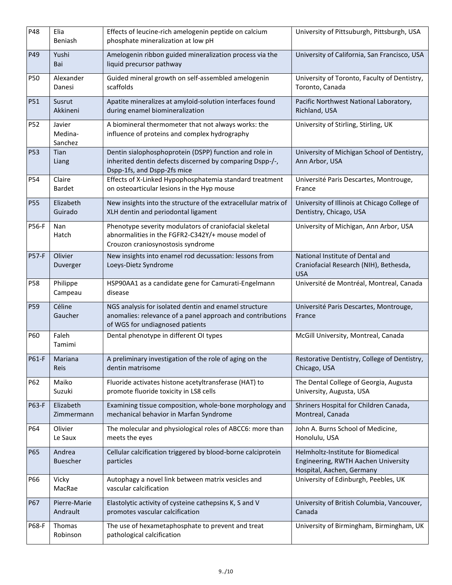| P48             | Elia<br>Beniash              | Effects of leucine-rich amelogenin peptide on calcium<br>phosphate mineralization at low pH                                                            | University of Pittsuburgh, Pittsburgh, USA                                                             |
|-----------------|------------------------------|--------------------------------------------------------------------------------------------------------------------------------------------------------|--------------------------------------------------------------------------------------------------------|
| P49             | Yushi<br>Bai                 | Amelogenin ribbon guided mineralization process via the<br>liquid precursor pathway                                                                    | University of California, San Francisco, USA                                                           |
| <b>P50</b>      | Alexander<br>Danesi          | Guided mineral growth on self-assembled amelogenin<br>scaffolds                                                                                        | University of Toronto, Faculty of Dentistry,<br>Toronto, Canada                                        |
| P51             | Susrut<br>Akkineni           | Apatite mineralizes at amyloid-solution interfaces found<br>during enamel biomineralization                                                            | Pacific Northwest National Laboratory,<br>Richland, USA                                                |
| P52             | Javier<br>Medina-<br>Sanchez | A biomineral thermometer that not always works: the<br>influence of proteins and complex hydrography                                                   | University of Stirling, Stirling, UK                                                                   |
| <b>P53</b>      | Tian<br>Liang                | Dentin sialophosphoprotein (DSPP) function and role in<br>inherited dentin defects discerned by comparing Dspp-/-,<br>Dspp-1fs, and Dspp-2fs mice      | University of Michigan School of Dentistry,<br>Ann Arbor, USA                                          |
| P54             | Claire<br><b>Bardet</b>      | Effects of X-Linked Hypophosphatemia standard treatment<br>on osteoarticular lesions in the Hyp mouse                                                  | Université Paris Descartes, Montrouge,<br>France                                                       |
| <b>P55</b>      | Elizabeth<br>Guirado         | New insights into the structure of the extracellular matrix of<br>XLH dentin and periodontal ligament                                                  | University of Illinois at Chicago College of<br>Dentistry, Chicago, USA                                |
| <b>P56-F</b>    | Nan<br>Hatch                 | Phenotype severity modulators of craniofacial skeletal<br>abnormalities in the FGFR2-C342Y/+ mouse model of<br>Crouzon craniosynostosis syndrome       | University of Michigan, Ann Arbor, USA                                                                 |
| <b>P57-F</b>    | Olivier<br>Duverger          | New insights into enamel rod decussation: lessons from<br>Loeys-Dietz Syndrome                                                                         | National Institute of Dental and<br>Craniofacial Research (NIH), Bethesda,<br><b>USA</b>               |
| P58             | Philippe<br>Campeau          | HSP90AA1 as a candidate gene for Camurati-Engelmann<br>disease                                                                                         | Université de Montréal, Montreal, Canada                                                               |
| P <sub>59</sub> | Céline<br>Gaucher            | NGS analysis for isolated dentin and enamel structure<br>anomalies: relevance of a panel approach and contributions<br>of WGS for undiagnosed patients | Université Paris Descartes, Montrouge,<br>France                                                       |
| P60             | Faleh<br>Tamimi              | Dental phenotype in different OI types                                                                                                                 | McGill University, Montreal, Canada                                                                    |
| P61-F           | Mariana<br>Reis              | A preliminary investigation of the role of aging on the<br>dentin matrisome                                                                            | Restorative Dentistry, College of Dentistry,<br>Chicago, USA                                           |
| P62             | Maiko<br>Suzuki              | Fluoride activates histone acetyltransferase (HAT) to<br>promote fluoride toxicity in LS8 cells                                                        | The Dental College of Georgia, Augusta<br>University, Augusta, USA                                     |
| P63-F           | Elizabeth<br>Zimmermann      | Examining tissue composition, whole-bone morphology and<br>mechanical behavior in Marfan Syndrome                                                      | Shriners Hospital for Children Canada,<br>Montreal, Canada                                             |
| P64             | Olivier<br>Le Saux           | The molecular and physiological roles of ABCC6: more than<br>meets the eyes                                                                            | John A. Burns School of Medicine,<br>Honolulu, USA                                                     |
| P65             | Andrea<br><b>Buescher</b>    | Cellular calcification triggered by blood-borne calciprotein<br>particles                                                                              | Helmholtz-Institute for Biomedical<br>Engineering, RWTH Aachen University<br>Hospital, Aachen, Germany |
| P66             | Vicky<br>MacRae              | Autophagy a novel link between matrix vesicles and<br>vascular calcification                                                                           | University of Edinburgh, Peebles, UK                                                                   |
| P67             | Pierre-Marie<br>Andrault     | Elastolytic activity of cysteine cathepsins K, S and V<br>promotes vascular calcification                                                              | University of British Columbia, Vancouver,<br>Canada                                                   |
| P68-F           | Thomas<br>Robinson           | The use of hexametaphosphate to prevent and treat<br>pathological calcification                                                                        | University of Birmingham, Birmingham, UK                                                               |